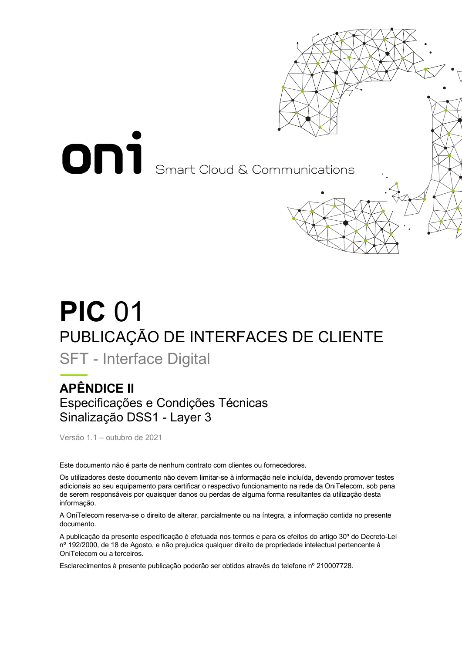

## **PIC** 01 PUBLICAÇÃO DE INTERFACES DE CLIENTE

SFT - Interface Digital

## **APÊNDICE II** Especificações e Condições Técnicas Sinalização DSS1 - Layer 3

Versão 1.1 – outubro de 2021

Este documento não é parte de nenhum contrato com clientes ou fornecedores.

Os utilizadores deste documento não devem limitar-se à informação nele incluída, devendo promover testes adicionais ao seu equipamento para certificar o respectivo funcionamento na rede da OniTelecom, sob pena de serem responsáveis por quaisquer danos ou perdas de alguma forma resultantes da utilização desta informação.

A OniTelecom reserva-se o direito de alterar, parcialmente ou na íntegra, a informação contida no presente documento.

A publicação da presente especificação é efetuada nos termos e para os efeitos do artigo 30º do Decreto-Lei nº 192/2000, de 18 de Agosto, e não prejudica qualquer direito de propriedade intelectual pertencente à OniTelecom ou a terceiros.

Esclarecimentos à presente publicação poderão ser obtidos através do telefone nº 210007728.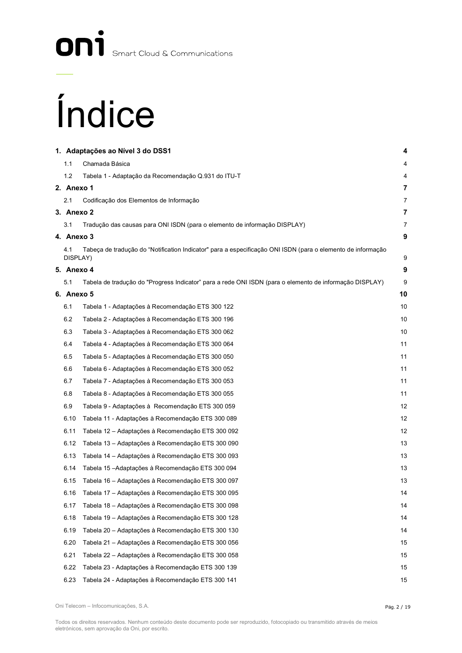## On<sup>1</sup> Smart Cloud & Communications

# Índice

|                 | 1. Adaptações ao Nível 3 do DSS1                                                                            | 4                       |
|-----------------|-------------------------------------------------------------------------------------------------------------|-------------------------|
| 1.1             | Chamada Básica                                                                                              | 4                       |
| 1.2             | Tabela 1 - Adaptação da Recomendação Q.931 do ITU-T                                                         | 4                       |
| 2. Anexo 1      |                                                                                                             | 7                       |
| 2.1             | Codificação dos Elementos de Informação                                                                     | 7                       |
| 3. Anexo 2      |                                                                                                             | $\overline{\mathbf{7}}$ |
| 3.1             | Tradução das causas para ONI ISDN (para o elemento de informação DISPLAY)                                   | 7                       |
| 4. Anexo 3      |                                                                                                             | 9                       |
| 4.1<br>DISPLAY) | Tabeça de tradução do "Notification Indicator" para a especificação ONI ISDN (para o elemento de informação | 9                       |
| 5. Anexo 4      |                                                                                                             | 9                       |
| 5.1             | Tabela de tradução do "Progress Indicator" para a rede ONI ISDN (para o elemento de informação DISPLAY)     | 9                       |
| 6. Anexo 5      |                                                                                                             | 10                      |
| 6.1             | Tabela 1 - Adaptações à Recomendação ETS 300 122                                                            | 10                      |
| 6.2             | Tabela 2 - Adaptações à Recomendação ETS 300 196                                                            | 10                      |
| 6.3             | Tabela 3 - Adaptações à Recomendação ETS 300 062                                                            | 10                      |
| 6.4             | Tabela 4 - Adaptações à Recomendação ETS 300 064                                                            | 11                      |
| 6.5             | Tabela 5 - Adaptações à Recomendação ETS 300 050                                                            | 11                      |
| 6.6             | Tabela 6 - Adaptações à Recomendação ETS 300 052                                                            | 11                      |
| 6.7             | Tabela 7 - Adaptações à Recomendação ETS 300 053                                                            | 11                      |
| 6.8             | Tabela 8 - Adaptações à Recomendação ETS 300 055                                                            | 11                      |
| 6.9             | Tabela 9 - Adaptações à Recomendação ETS 300 059                                                            | 12                      |
| 6.10            | Tabela 11 - Adaptações à Recomendação ETS 300 089                                                           | 12                      |
| 6.11            | Tabela 12 – Adaptações à Recomendação ETS 300 092                                                           | 12                      |
| 6.12            | Tabela 13 – Adaptações à Recomendação ETS 300 090                                                           | 13                      |
| 6.13            | Tabela 14 - Adaptações à Recomendação ETS 300 093                                                           | 13                      |
| 6.14            | Tabela 15 – Adaptações à Recomendação ETS 300 094                                                           | 13                      |
| 6.15            | Tabela 16 – Adaptações à Recomendação ETS 300 097                                                           | 13                      |
| 6.16            | Tabela 17 - Adaptações à Recomendação ETS 300 095                                                           | 14                      |
| 6.17            | Tabela 18 - Adaptações à Recomendação ETS 300 098                                                           | 14                      |
| 6.18            | Tabela 19 - Adaptações à Recomendação ETS 300 128                                                           | 14                      |
| 6.19            | Tabela 20 – Adaptações à Recomendação ETS 300 130                                                           | 14                      |
| 6.20            | Tabela 21 – Adaptações à Recomendação ETS 300 056                                                           | 15                      |
| 6.21            | Tabela 22 – Adaptações à Recomendação ETS 300 058                                                           | 15                      |
| 6.22            | Tabela 23 - Adaptações à Recomendação ETS 300 139                                                           | 15                      |
| 6.23            | Tabela 24 - Adaptações à Recomendação ETS 300 141                                                           | 15                      |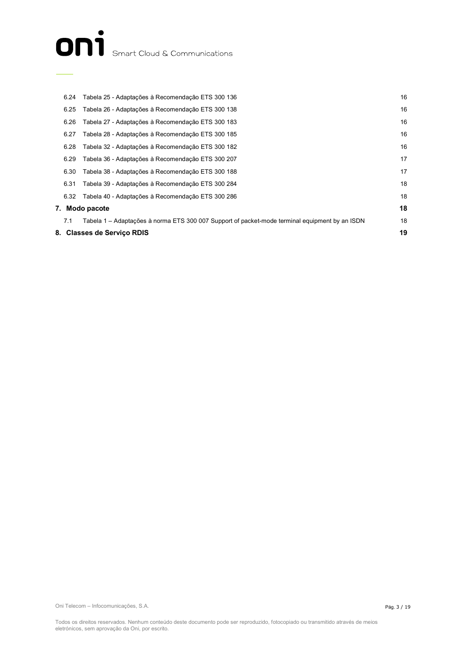## ON<sup>1</sup> Smart Cloud & Communications

|      | 8. Classes de Servico RDIS                                                                     | 19 |
|------|------------------------------------------------------------------------------------------------|----|
| 7.1  | Tabela 1 – Adaptações à norma ETS 300 007 Support of packet-mode terminal equipment by an ISDN | 18 |
|      | 7. Modo pacote                                                                                 | 18 |
| 6.32 | Tabela 40 - Adaptações à Recomendação ETS 300 286                                              | 18 |
| 6.31 | Tabela 39 - Adaptações à Recomendação ETS 300 284                                              | 18 |
| 6.30 | Tabela 38 - Adaptações à Recomendação ETS 300 188                                              | 17 |
| 6.29 | Tabela 36 - Adaptações à Recomendação ETS 300 207                                              | 17 |
| 6.28 | Tabela 32 - Adaptações à Recomendação ETS 300 182                                              | 16 |
| 6.27 | Tabela 28 - Adaptações à Recomendação ETS 300 185                                              | 16 |
| 6.26 | Tabela 27 - Adaptações à Recomendação ETS 300 183                                              | 16 |
| 6.25 | Tabela 26 - Adaptações à Recomendação ETS 300 138                                              | 16 |
| 6.24 | Tabela 25 - Adaptações à Recomendação ETS 300 136                                              | 16 |

Oni Telecom – Infocomunicações, S.A.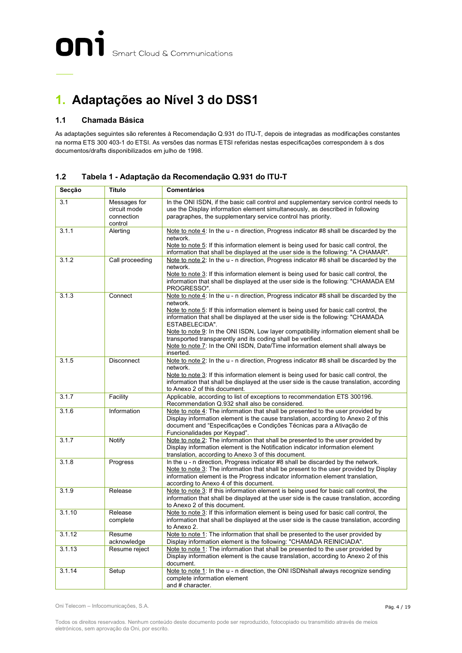## **1. Adaptações ao Nível 3 do DSS1**

#### **1.1 Chamada Básica**

As adaptações seguintes são referentes à Recomendação Q.931 do ITU-T, depois de integradas as modificações constantes na norma ETS 300 403-1 do ETSI. As versões das normas ETSI referidas nestas especificações correspondem à s dos documentos/drafts disponibilizados em julho de 1998.

| Secção | Título                                                | <b>Comentários</b>                                                                                                                                                                                                                                                                                                                                                                                                                                                                                                                                       |  |
|--------|-------------------------------------------------------|----------------------------------------------------------------------------------------------------------------------------------------------------------------------------------------------------------------------------------------------------------------------------------------------------------------------------------------------------------------------------------------------------------------------------------------------------------------------------------------------------------------------------------------------------------|--|
| 3.1    | Messages for<br>circuit mode<br>connection<br>control | In the ONI ISDN, if the basic call control and supplementary service control needs to<br>use the Display information element simultaneously, as described in following<br>paragraphes, the supplementary service control has priority.                                                                                                                                                                                                                                                                                                                   |  |
| 3.1.1  | Alerting                                              | Note to note 4: In the u - n direction, Progress indicator #8 shall be discarded by the<br>network.<br>Note to note 5: If this information element is being used for basic call control, the<br>information that shall be displayed at the user side is the following: "A CHAMAR".                                                                                                                                                                                                                                                                       |  |
| 3.1.2  | Call proceeding                                       | Note to note 2: In the u - n direction, Progress indicator #8 shall be discarded by the<br>network.<br>Note to note 3: If this information element is being used for basic call control, the<br>information that shall be displayed at the user side is the following: "CHAMADA EM<br>PROGRESSO".                                                                                                                                                                                                                                                        |  |
| 3.1.3  | Connect                                               | Note to note 4: In the u - n direction, Progress indicator #8 shall be discarded by the<br>network.<br>Note to note 5: If this information element is being used for basic call control, the<br>information that shall be displayed at the user side is the following: "CHAMADA<br>ESTABELECIDA".<br>Note to note 9: In the ONI ISDN, Low layer compatibility information element shall be<br>transported transparently and its coding shall be verified.<br>Note to note 7: In the ONI ISDN, Date/Time information element shall always be<br>inserted. |  |
| 3.1.5  | <b>Disconnect</b>                                     | Note to note 2: In the u - n direction, Progress indicator #8 shall be discarded by the<br>network.<br>Note to note 3: If this information element is being used for basic call control, the<br>information that shall be displayed at the user side is the cause translation, according<br>to Anexo 2 of this document.                                                                                                                                                                                                                                 |  |
| 3.1.7  | Facility                                              | Applicable, according to list of exceptions to recommendation ETS 300196.<br>Recommendation Q.932 shall also be considered.                                                                                                                                                                                                                                                                                                                                                                                                                              |  |
| 3.1.6  | Information                                           | Note to note 4: The information that shall be presented to the user provided by<br>Display information element is the cause translation, according to Anexo 2 of this<br>document and "Especificações e Condições Técnicas para a Ativação de<br>Funcionalidades por Keypad".                                                                                                                                                                                                                                                                            |  |
| 3.1.7  | Notify                                                | Note to note 2: The information that shall be presented to the user provided by<br>Display information element is the Notification indicator information element<br>translation, according to Anexo 3 of this document.                                                                                                                                                                                                                                                                                                                                  |  |
| 3.1.8  | Progress                                              | In the u - n direction, Progress indicator #8 shall be discarded by the network.<br>Note to note 3: The information that shall be present to the user provided by Display<br>information element is the Progress indicator information element translation,<br>according to Anexo 4 of this document.                                                                                                                                                                                                                                                    |  |
| 3.1.9  | Release                                               | Note to note 3: If this information element is being used for basic call control, the<br>information that shall be displayed at the user side is the cause translation, according<br>to Anexo 2 of this document.                                                                                                                                                                                                                                                                                                                                        |  |
| 3.1.10 | Release<br>complete                                   | Note to note 3: If this information element is being used for basic call control, the<br>information that shall be displayed at the user side is the cause translation, according<br>to Anexo 2.                                                                                                                                                                                                                                                                                                                                                         |  |
| 3.1.12 | Resume<br>acknowledge                                 | Note to note 1: The information that shall be presented to the user provided by<br>Display information element is the following: "CHAMADA REINICIADA".                                                                                                                                                                                                                                                                                                                                                                                                   |  |
| 3.1.13 | Resume reject                                         | Note to note 1: The information that shall be presented to the user provided by<br>Display information element is the cause translation, according to Anexo 2 of this<br>document.                                                                                                                                                                                                                                                                                                                                                                       |  |
| 3.1.14 | Setup                                                 | Note to note 1: In the u - n direction, the ONI ISDNshall always recognize sending<br>complete information element<br>and # character.                                                                                                                                                                                                                                                                                                                                                                                                                   |  |

**1.2 Tabela 1 - Adaptação da Recomendação Q.931 do ITU-T**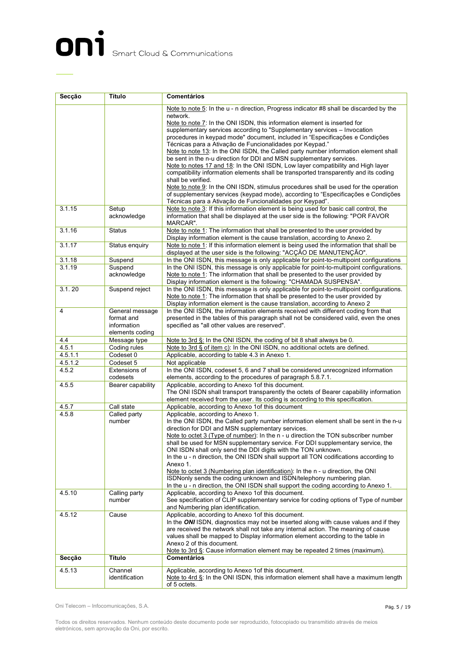## ON<sup>1</sup> Smart Cloud & Communications

| <b>Comentários</b><br>Secção<br>Título |                      |                                                                                                                                                                                        |  |
|----------------------------------------|----------------------|----------------------------------------------------------------------------------------------------------------------------------------------------------------------------------------|--|
|                                        |                      | Note to note 5: In the u - n direction, Progress indicator #8 shall be discarded by the                                                                                                |  |
|                                        |                      | network.                                                                                                                                                                               |  |
|                                        |                      | Note to note 7: In the ONI ISDN, this information element is inserted for                                                                                                              |  |
|                                        |                      | supplementary services according to "Supplementary services - Invocation                                                                                                               |  |
|                                        |                      | procedures in keypad mode" document, included in "Especificações e Condições"                                                                                                          |  |
|                                        |                      | Técnicas para a Ativação de Funcionalidades por Keypad."                                                                                                                               |  |
|                                        |                      | Note to note 13: In the ONI ISDN, the Called party number information element shall<br>be sent in the n-u direction for DDI and MSN supplementary services.                            |  |
|                                        |                      | Note to notes 17 and 18: In the ONI ISDN, Low layer compatibility and High layer                                                                                                       |  |
|                                        |                      | compatibility information elements shall be transported transparently and its coding                                                                                                   |  |
|                                        |                      | shall be verified.                                                                                                                                                                     |  |
|                                        |                      | Note to note 9: In the ONI ISDN, stimulus procedures shall be used for the operation                                                                                                   |  |
|                                        |                      | of supplementary services (keypad mode), according to "Especificações e Condições                                                                                                      |  |
|                                        |                      | Técnicas para a Ativação de Funcionalidades por Keypad".                                                                                                                               |  |
| 3.1.15                                 | Setup<br>acknowledge | Note to note 3: If this information element is being used for basic call control, the<br>information that shall be displayed at the user side is the following: "POR FAVOR<br>MARCAR". |  |
| 3.1.16                                 | <b>Status</b>        | Note to note 1: The information that shall be presented to the user provided by                                                                                                        |  |
|                                        |                      | Display information element is the cause translation, according to Anexo 2.                                                                                                            |  |
| 3.1.17                                 | Status enquiry       | Note to note 1: If this information element is being used the information that shall be                                                                                                |  |
|                                        |                      | displayed at the user side is the following: "ACÇÃO DE MANUTENÇÃO".                                                                                                                    |  |
| 3.1.18                                 | Suspend              | In the ONI ISDN, this message is only applicable for point-to-multipoint configurations                                                                                                |  |
| 3.1.19                                 | Suspend              | In the ONI ISDN, this message is only applicable for point-to-multipoint configurations.                                                                                               |  |
|                                        | acknowledge          | Note to note 1: The information that shall be presented to the user provided by                                                                                                        |  |
|                                        |                      | Display information element is the following: "CHAMADA SUSPENSA".                                                                                                                      |  |
| 3.1.20                                 | Suspend reject       | In the ONI ISDN, this message is only applicable for point-to-multipoint configurations.                                                                                               |  |
|                                        |                      | Note to note 1: The information that shall be presented to the user provided by<br>Display information element is the cause translation, according to Anexo 2                          |  |
| 4                                      | General message      | In the ONI ISDN, the information elements received with different coding from that                                                                                                     |  |
|                                        | format and           | presented in the tables of this paragraph shall not be considered valid, even the ones                                                                                                 |  |
|                                        | information          | specified as "all other values are reserved".                                                                                                                                          |  |
|                                        | elements coding      |                                                                                                                                                                                        |  |
| 4.4                                    | Message type         | Note to 3rd §: In the ONI ISDN, the coding of bit 8 shall always be 0.                                                                                                                 |  |
| 4.5.1                                  | Coding rules         | Note to 3rd § of item c): In the ONI ISDN, no additional octets are defined.                                                                                                           |  |
| 4.5.1.1                                | Codeset 0            | Applicable, according to table 4.3 in Anexo 1.                                                                                                                                         |  |
| 4.5.1.2                                | Codeset 5            | Not applicable                                                                                                                                                                         |  |
| 4.5.2                                  | Extensions of        | In the ONI ISDN, codeset 5, 6 and 7 shall be considered unrecognized information                                                                                                       |  |
| 4.5.5                                  | codesets             | elements, according to the procedures of paragraph 5.8.7.1.                                                                                                                            |  |
|                                        | Bearer capability    | Applicable, according to Anexo 1of this document.<br>The ONI ISDN shall transport transparently the octets of Bearer capability information                                            |  |
|                                        |                      | element received from the user. Its coding is according to this specification.                                                                                                         |  |
| 4.5.7                                  | Call state           | Applicable, according to Anexo 1of this document                                                                                                                                       |  |
| 4.5.8                                  | Called party         | Applicable, according to Anexo 1.                                                                                                                                                      |  |
|                                        | number               | In the ONI ISDN, the Called party number information element shall be sent in the n-u                                                                                                  |  |
|                                        |                      | direction for DDI and MSN supplementary services.                                                                                                                                      |  |
|                                        |                      | Note to octet 3 (Type of number): In the n - u direction the TON subscriber number                                                                                                     |  |
|                                        |                      | shall be used for MSN supplementary service. For DDI supplementary service, the                                                                                                        |  |
|                                        |                      | ONI ISDN shall only send the DDI digits with the TON unknown.                                                                                                                          |  |
|                                        |                      | In the u - n direction, the ONI ISDN shall support all TON codifications according to<br>Anexo 1.                                                                                      |  |
|                                        |                      | Note to octet 3 (Numbering plan identification): In the n - u direction, the ONI                                                                                                       |  |
|                                        |                      | ISDNonly sends the coding unknown and ISDN/telephony numbering plan.                                                                                                                   |  |
|                                        |                      | In the u - n direction, the ONI ISDN shall support the coding according to Anexo 1.                                                                                                    |  |
| 4.5.10                                 | Calling party        | Applicable, according to Anexo 1 of this document.                                                                                                                                     |  |
|                                        | number               | See specification of CLIP supplementary service for coding options of Type of number                                                                                                   |  |
|                                        |                      | and Numbering plan identification.                                                                                                                                                     |  |
| 4.5.12                                 | Cause                | Applicable, according to Anexo 1of this document.                                                                                                                                      |  |
|                                        |                      | In the ONI ISDN, diagnostics may not be inserted along with cause values and if they                                                                                                   |  |
|                                        |                      | are received the network shall not take any internal action. The meaning of cause                                                                                                      |  |
|                                        |                      | values shall be mapped to Display information element according to the table in                                                                                                        |  |
|                                        |                      | Anexo 2 of this document.                                                                                                                                                              |  |
| Secção                                 | Título               | Note to $3rdS$ : Cause information element may be repeated 2 times (maximum).<br><b>Comentários</b>                                                                                    |  |
|                                        |                      |                                                                                                                                                                                        |  |
| 4.5.13                                 | Channel              | Applicable, according to Anexo 1of this document.                                                                                                                                      |  |
|                                        | identification       | Note to 4rd §: In the ONI ISDN, this information element shall have a maximum length                                                                                                   |  |
|                                        |                      | of 5 octets.                                                                                                                                                                           |  |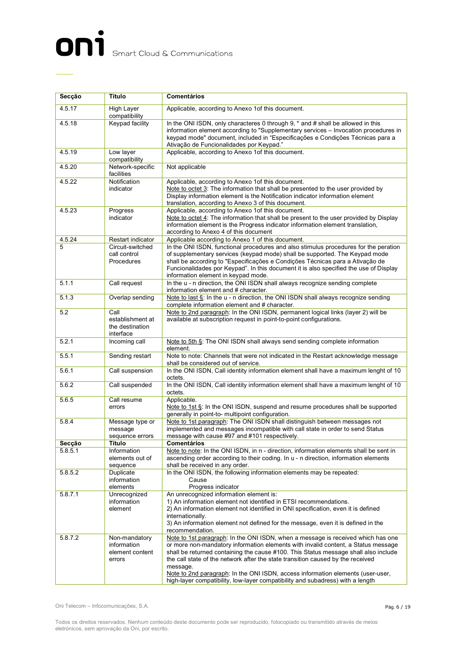## ON<sup>1</sup> Smart Cloud & Communications

| Secção  | Título                                                    | <b>Comentários</b>                                                                                                                                                                                                                                                                                                                                                                                                                                                                                                               |  |
|---------|-----------------------------------------------------------|----------------------------------------------------------------------------------------------------------------------------------------------------------------------------------------------------------------------------------------------------------------------------------------------------------------------------------------------------------------------------------------------------------------------------------------------------------------------------------------------------------------------------------|--|
| 4.5.17  | <b>High Layer</b><br>compatibility                        | Applicable, according to Anexo 1 of this document.                                                                                                                                                                                                                                                                                                                                                                                                                                                                               |  |
| 4.5.18  | Keypad facility                                           | In the ONI ISDN, only characteres 0 through 9, * and # shall be allowed in this<br>information element according to "Supplementary services - Invocation procedures in<br>keypad mode" document, included in "Especificações e Condições Técnicas para a<br>Ativação de Funcionalidades por Keypad."                                                                                                                                                                                                                             |  |
| 4.5.19  | Low layer<br>compatibility                                | Applicable, according to Anexo 1of this document.                                                                                                                                                                                                                                                                                                                                                                                                                                                                                |  |
| 4.5.20  | Network-specific<br>facilities                            | Not applicable                                                                                                                                                                                                                                                                                                                                                                                                                                                                                                                   |  |
| 4.5.22  | Notification<br>indicator                                 | Applicable, according to Anexo 1of this document.<br>Note to octet 3: The information that shall be presented to the user provided by<br>Display information element is the Notification indicator information element<br>translation, according to Anexo 3 of this document.                                                                                                                                                                                                                                                    |  |
| 4.5.23  | Progress<br>indicator                                     | Applicable, according to Anexo 1of this document.<br>Note to octet 4: The information that shall be present to the user provided by Display<br>information element is the Progress indicator information element translation,<br>according to Anexo 4 of this document                                                                                                                                                                                                                                                           |  |
| 4.5.24  | Restart indicator                                         | Applicable according to Anexo 1 of this document.                                                                                                                                                                                                                                                                                                                                                                                                                                                                                |  |
| 5       | Circuit-switched<br>call control<br>Procedures            | In the ONI ISDN, functional procedures and also stimulus procedures for the peration<br>of supplementary services (keypad mode) shall be supported. The Keypad mode<br>shall be according to "Especificações e Condições Técnicas para a Ativação de<br>Funcionalidades por Keypad". In this document it is also specified the use of Display<br>information element in keypad mode.                                                                                                                                             |  |
| 5.1.1   | Call request                                              | In the u - n direction, the ONI ISDN shall always recognize sending complete<br>information element and # character.                                                                                                                                                                                                                                                                                                                                                                                                             |  |
| 5.1.3   | Overlap sending                                           | Note to last §: In the u - n direction, the ONI ISDN shall always recognize sending<br>complete information element and # character.                                                                                                                                                                                                                                                                                                                                                                                             |  |
| 5.2     | Call<br>establishment at<br>the destination<br>interface  | Note to 2nd paragraph: In the ONI ISDN, permanent logical links (layer 2) will be<br>available at subscription request in point-to-point configurations.                                                                                                                                                                                                                                                                                                                                                                         |  |
| 5.2.1   | Incoming call                                             | Note to 5th §: The ONI ISDN shall always send sending complete information<br>element.                                                                                                                                                                                                                                                                                                                                                                                                                                           |  |
| 5.5.1   | Sending restart                                           | Note to note: Channels that were not indicated in the Restart acknowledge message<br>shall be considered out of service.                                                                                                                                                                                                                                                                                                                                                                                                         |  |
| 5.6.1   | Call suspension                                           | In the ONI ISDN, Call identity information element shall have a maximum lenght of 10<br>octets.                                                                                                                                                                                                                                                                                                                                                                                                                                  |  |
| 5.6.2   | Call suspended                                            | In the ONI ISDN, Call identity information element shall have a maximum lenght of 10<br>octets.                                                                                                                                                                                                                                                                                                                                                                                                                                  |  |
| 5.6.5   | Call resume<br>errors                                     | Applicable.<br>Note to 1st $\S$ : In the ONI ISDN, suspend and resume procedures shall be supported<br>generally in point-to- multipoint configuration.                                                                                                                                                                                                                                                                                                                                                                          |  |
| 5.8.4   | Message type or<br>message<br>sequence errors             | Note to 1st paragraph: The ONI ISDN shall distinguish between messages not<br>implemented and messages incompatible with call state in order to send Status<br>message with cause #97 and #101 respectively.                                                                                                                                                                                                                                                                                                                     |  |
| Secção  | <b>Título</b>                                             | <b>Comentários</b>                                                                                                                                                                                                                                                                                                                                                                                                                                                                                                               |  |
| 5.8.5.1 | Information<br>elements out of<br>sequence                | Note to note: In the ONI ISDN, in n - direction, information elements shall be sent in<br>ascending order according to their coding. In u - n direction, information elements<br>shall be received in any order.                                                                                                                                                                                                                                                                                                                 |  |
| 5.8.5.2 | Duplicate<br>information<br>elements                      | In the ONI ISDN, the following information elements may be repeated:<br>Cause<br>Progress indicator                                                                                                                                                                                                                                                                                                                                                                                                                              |  |
| 5.8.7.1 | Unrecognized<br>information<br>element                    | An unrecognized information element is:<br>1) An information element not identified in ETSI recommendations.<br>2) An information element not identified in ONI specification, even it is defined<br>internationally.<br>3) An information element not defined for the message, even it is defined in the<br>recommendation.                                                                                                                                                                                                     |  |
| 5.8.7.2 | Non-mandatory<br>information<br>element content<br>errors | Note to 1st paragraph: In the ONI ISDN, when a message is received which has one<br>or more non-mandatory information elements with invalid content, a Status message<br>shall be returned containing the cause #100. This Status message shall also include<br>the call state of the network after the state transition caused by the received<br>message.<br>Note to 2nd paragraph: In the ONI ISDN, access information elements (user-user,<br>high-layer compatibility, low-layer compatibility and subadress) with a length |  |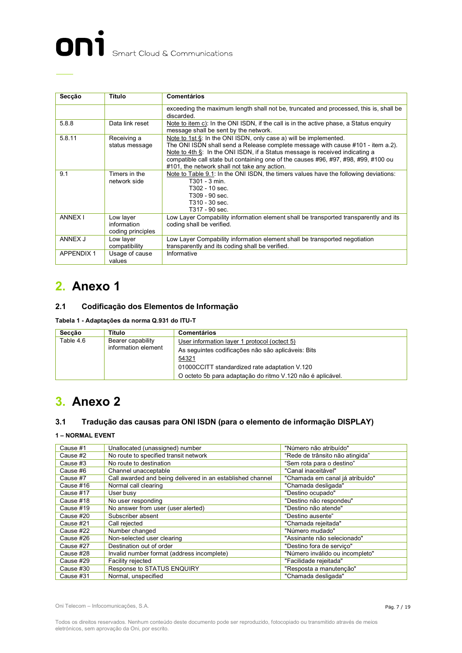

| Secção           | Título                                        | <b>Comentários</b>                                                                                                                                                                                                                                                                                                                                                             |  |
|------------------|-----------------------------------------------|--------------------------------------------------------------------------------------------------------------------------------------------------------------------------------------------------------------------------------------------------------------------------------------------------------------------------------------------------------------------------------|--|
|                  |                                               | exceeding the maximum length shall not be, truncated and processed, this is, shall be<br>discarded.                                                                                                                                                                                                                                                                            |  |
| 5.8.8            | Data link reset                               | Note to item c): In the ONI ISDN, if the call is in the active phase, a Status enguiry<br>message shall be sent by the network.                                                                                                                                                                                                                                                |  |
| 5.8.11           | Receiving a<br>status message                 | Note to 1st $\S$ : In the ONI ISDN, only case a) will be implemented.<br>The ONI ISDN shall send a Release complete message with cause #101 - item a.2).<br>Note to 4th §: In the ONI ISDN, if a Status message is received indicating a<br>compatible call state but containing one of the causes #96, #97, #98, #99, #100 ou<br>#101, the network shall not take any action. |  |
| 9.1              | Timers in the<br>network side                 | Note to Table 9.1: In the ONI ISDN, the timers values have the following deviations:<br>T301 - 3 min.<br>T302 - 10 sec.<br>T309 - 90 sec.<br>T310 - 30 sec.<br>T317 - 90 sec.                                                                                                                                                                                                  |  |
| <b>ANNEX I</b>   | Low layer<br>information<br>coding principles | Low Layer Compability information element shall be transported transparently and its<br>coding shall be verified.                                                                                                                                                                                                                                                              |  |
| ANNEX J          | Low layer<br>compatibility                    | Low Layer Compability information element shall be transported negotiation<br>transparently and its coding shall be verified.                                                                                                                                                                                                                                                  |  |
| <b>APPENDIX1</b> | Usage of cause<br>values                      | Informative                                                                                                                                                                                                                                                                                                                                                                    |  |

## **2. Anexo 1**

#### **2.1 Codificação dos Elementos de Informação**

**Tabela 1 - Adaptações da norma Q.931 do ITU-T**

| Seccão              | Título                                             | <b>Comentários</b>                                         |
|---------------------|----------------------------------------------------|------------------------------------------------------------|
| Table 4.6           | Bearer capability                                  | User information layer 1 protocol (octect 5)               |
| information element | As sequintes codificações não são aplicáveis: Bits |                                                            |
|                     |                                                    | 54321                                                      |
|                     |                                                    | 01000CCITT standardized rate adaptation V.120              |
|                     |                                                    | O octeto 5b para adaptação do ritmo V.120 não é aplicável. |

### **3. Anexo 2**

#### **3.1 Tradução das causas para ONI ISDN (para o elemento de informação DISPLAY)**

#### **1 – NORMAL EVENT**

| Cause #1  | Unallocated (unassigned) number                            | "Número não atribuído"          |
|-----------|------------------------------------------------------------|---------------------------------|
| Cause #2  | No route to specified transit network                      | "Rede de trânsito não atingida" |
| Cause #3  | No route to destination                                    | "Sem rota para o destino"       |
| Cause #6  | Channel unacceptable                                       | "Canal inaceitável"             |
| Cause #7  | Call awarded and being delivered in an established channel | "Chamada em canal já atribuído" |
| Cause #16 | Normal call clearing                                       | "Chamada desligada"             |
| Cause #17 | User busy                                                  | "Destino ocupado"               |
| Cause #18 | No user responding                                         | "Destino não respondeu"         |
| Cause #19 | No answer from user (user alerted)                         | "Destino não atende"            |
| Cause #20 | Subscriber absent                                          | "Destino ausente"               |
| Cause #21 | Call rejected                                              | "Chamada rejeitada"             |
| Cause #22 | Number changed                                             | "Número mudado"                 |
| Cause #26 | Non-selected user clearing                                 | "Assinante não selecionado"     |
| Cause #27 | Destination out of order                                   | "Destino fora de servico"       |
| Cause #28 | Invalid number format (address incomplete)                 | "Número inválido ou incompleto" |
| Cause #29 | Facility rejected                                          | "Facilidade rejeitada"          |
| Cause #30 | Response to STATUS ENQUIRY                                 | "Resposta a manutenção"         |
| Cause #31 | Normal, unspecified                                        | "Chamada desligada"             |

Oni Telecom – Infocomunicações, S.A.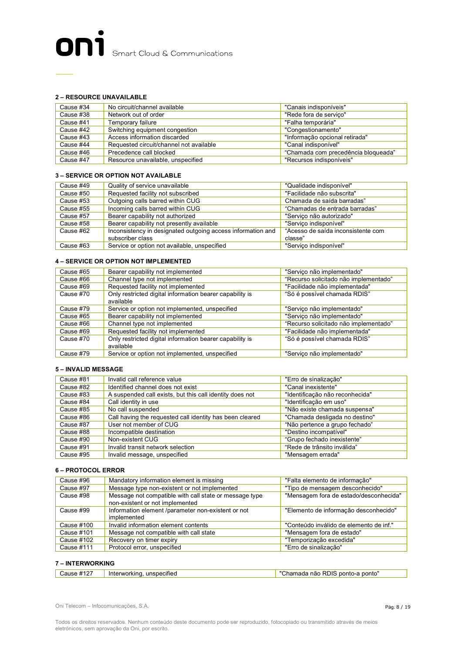#### **2 – RESOURCE UNAVAILABLE**

| Cause #34 | No circuit/channel available            | "Canais indisponíveis"              |
|-----------|-----------------------------------------|-------------------------------------|
| Cause #38 | Network out of order                    | "Rede fora de servico"              |
| Cause #41 | Temporary failure                       | "Falha temporária"                  |
| Cause #42 | Switching equipment congestion          | "Congestionamento"                  |
| Cause #43 | Access information discarded            | "Informação opcional retirada"      |
| Cause #44 | Requested circuit/channel not available | "Canal indisponível"                |
| Cause #46 | Precedence call blocked                 | "Chamada com precedência bloqueada" |
| Cause #47 | Resource unavailable, unspecified       | "Recursos indisponíveis"            |

#### **3 – SERVICE OR OPTION NOT AVAILABLE**

| Cause #49 | Quality of service unavailable                              | "Qualidade indisponível"           |
|-----------|-------------------------------------------------------------|------------------------------------|
| Cause #50 | Requested facility not subscribed                           | "Facilidade não subscrita"         |
| Cause #53 | Outgoing calls barred within CUG                            | Chamada de saída barradas"         |
| Cause #55 | Incoming calls barred within CUG                            | "Chamadas de entrada barradas"     |
| Cause #57 | Bearer capability not authorized                            | "Servico não autorizado"           |
| Cause #58 | Bearer capability not presently available                   | "Servico indisponível"             |
| Cause #62 | Inconsistency in designated outgoing access information and | "Acesso de saída inconsistente com |
|           | subscriber class                                            | classe"                            |
| Cause #63 | Service or option not available, unspecified                | "Servico indisponível"             |

#### **4 – SERVICE OR OPTION NOT IMPLEMENTED**

| Cause #65 | Bearer capability not implemented                                     | "Servico não implementado"            |
|-----------|-----------------------------------------------------------------------|---------------------------------------|
| Cause #66 | Channel type not implemented                                          | "Recurso solicitado não implementado" |
| Cause #69 | Requested facility not implemented                                    | "Facilidade não implementada"         |
| Cause #70 | Only restricted digital information bearer capability is<br>available | "Só é possível chamada RDIS"          |
| Cause #79 | Service or option not implemented, unspecified                        | "Servico não implementado"            |
| Cause #65 | Bearer capability not implemented                                     | "Servico não implementado"            |
| Cause #66 | Channel type not implemented                                          | "Recurso solicitado não implementado" |
| Cause #69 | Requested facility not implemented                                    | "Facilidade não implementada"         |
| Cause #70 | Only restricted digital information bearer capability is              | "Só é possível chamada RDIS"          |
|           | available                                                             |                                       |
| Cause #79 | Service or option not implemented, unspecified                        | "Servico não implementado"            |

#### **5 – INVALID MESSAGE**

| Cause #81 | Invalid call reference value                             | "Erro de sinalização"           |
|-----------|----------------------------------------------------------|---------------------------------|
| Cause #82 | Identified channel does not exist                        | "Canal inexistente"             |
| Cause #83 | A suspended call exists, but this call identity does not | "Identificação não reconhecida" |
| Cause #84 | Call identity in use                                     | "Identificação em uso"          |
| Cause #85 | No call suspended                                        | "Não existe chamada suspensa"   |
| Cause #86 | Call having the requested call identity has been cleared | "Chamada desligada no destino"  |
| Cause #87 | User not member of CUG                                   | "Não pertence a grupo fechado"  |
| Cause #88 | Incompatible destination                                 | "Destino incompatível"          |
| Cause #90 | Non-existent CUG                                         | "Grupo fechado inexistente"     |
| Cause #91 | Invalid transit network selection                        | "Rede de trânsito inválida"     |
| Cause #95 | Invalid message, unspecified                             | "Mensagem errada"               |

#### **6 – PROTOCOL ERROR**

| Cause #96  | Mandatory information element is missing                                                  | "Falta elemento de informação"          |
|------------|-------------------------------------------------------------------------------------------|-----------------------------------------|
| Cause #97  | Message type non-existent or not implemented                                              | "Tipo de mensagem desconhecido"         |
| Cause #98  | Message not compatible with call state or message type<br>non-existent or not implemented | "Mensagem fora de estado/desconhecida"  |
| Cause #99  | Information element /parameter non-existent or not<br>implemented                         | "Elemento de informação desconhecido"   |
| Cause #100 | Invalid information element contents                                                      | "Conteúdo inválido de elemento de inf." |
| Cause #101 | Message not compatible with call state                                                    | "Mensagem fora de estado"               |
| Cause #102 | Recovery on timer expiry                                                                  | "Temporização excedida"                 |
| Cause #111 | Protocol error, unspecified                                                               | "Erro de sinalização"                   |

#### **7 – INTERWORKING**

| a não RDIS ponto-a ponto"<br>unspecified<br>Interworking<br>"<br>mada |
|-----------------------------------------------------------------------|
|-----------------------------------------------------------------------|

Oni Telecom – Infocomunicações, S.A.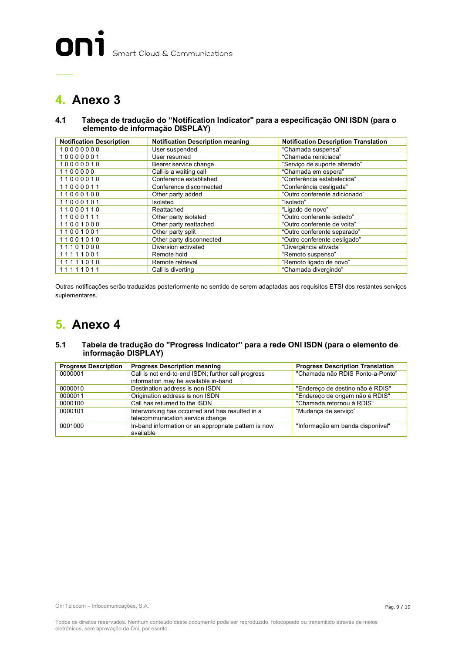## **4. Anexo 3**

#### **4.1 Tabeça de tradução do "Notification Indicator" para a especificação ONI ISDN (para o elemento de informação DISPLAY)**

| <b>Notification Description</b> | <b>Notification Description meaning</b> | <b>Notification Description Translation</b> |
|---------------------------------|-----------------------------------------|---------------------------------------------|
| 10000000                        | User suspended                          | "Chamada suspensa"                          |
| 10000001                        | User resumed                            | "Chamada reiniciada"                        |
| 10000010                        | Bearer service change                   | "Servico de suporte alterado"               |
| 1100000                         | Call is a waiting call                  | "Chamada em espera"                         |
| 11000010                        | Conference established                  | "Conferência estabelecida"                  |
| 11000011                        | Conference disconnected                 | "Conferência desligada"                     |
| 11000100                        | Other party added                       | "Outro conferente adicionado"               |
| 11000101                        | Isolated                                | "Isolado"                                   |
| 11000110                        | Reattached                              | "Ligado de novo"                            |
| 11000111                        | Other party isolated                    | "Outro conferente isolado"                  |
| 11001000                        | Other party reattached                  | "Outro conferente de volta"                 |
| 11001001                        | Other party split                       | "Outro conferente separado"                 |
| 11001010                        | Other party disconnected                | "Outro conferente desligado"                |
| 11101000                        | Diversion activated                     | "Divergência ativada"                       |
| 11111001                        | Remote hold                             | "Remoto suspenso"                           |
| 11111010                        | Remote retrieval                        | "Remoto ligado de novo"                     |
| 11111011                        | Call is diverting                       | "Chamada divergindo"                        |

Outras notificações serão traduzidas posteriormente no sentido de serem adaptadas aos requisitos ETSI dos restantes serviços suplementares.

### **5. Anexo 4**

#### **5.1 Tabela de tradução do "Progress Indicator" para a rede ONI ISDN (para o elemento de informação DISPLAY)**

| <b>Progress Description</b> | <b>Progress Description meaning</b>                  | <b>Progress Description Translation</b> |
|-----------------------------|------------------------------------------------------|-----------------------------------------|
| 0000001                     | Call is not end-to-end ISDN; further call progress   | "Chamada não RDIS Ponto-a-Ponto"        |
|                             | information may be available in-band                 |                                         |
| 0000010                     | Destination address is non ISDN                      | "Endereço de destino não é RDIS"        |
| 0000011                     | Origination address is non ISDN                      | "Endereço de origem não é RDIS"         |
| 0000100                     | Call has returned to the ISDN                        | "Chamada retornou à RDIS"               |
| 0000101                     | Interworking has occurred and has resulted in a      | "Mudança de serviço"                    |
|                             | telecommunication service change                     |                                         |
| 0001000                     | In-band information or an appropriate pattern is now | "Informação em banda disponível"        |
|                             | available                                            |                                         |

Oni Telecom – Infocomunicações, S.A.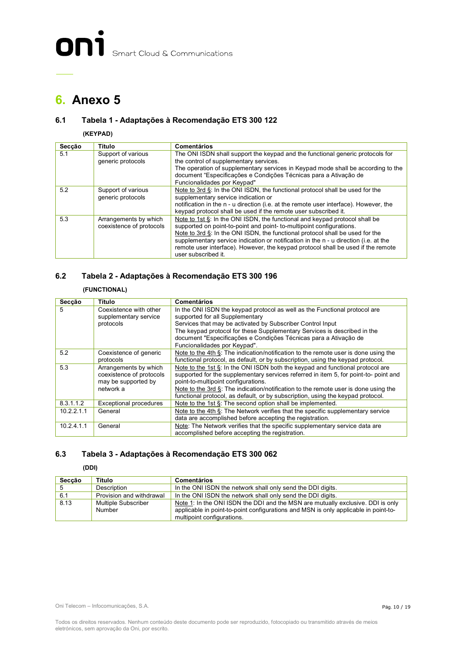### **6. Anexo 5**

#### **6.1 Tabela 1 - Adaptações à Recomendação ETS 300 122**

#### **(KEYPAD)**

| Secção | Título                                            | <b>Comentários</b>                                                                                                                                                                                                                                                                                                                                                                                                                     |
|--------|---------------------------------------------------|----------------------------------------------------------------------------------------------------------------------------------------------------------------------------------------------------------------------------------------------------------------------------------------------------------------------------------------------------------------------------------------------------------------------------------------|
| 5.1    | Support of various<br>generic protocols           | The ONI ISDN shall support the keypad and the functional generic protocols for<br>the control of supplementary services.<br>The operation of supplementary services in Keypad mode shall be according to the<br>document "Especificações e Condições Técnicas para a Ativação de                                                                                                                                                       |
|        |                                                   | Funcionalidades por Keypad"                                                                                                                                                                                                                                                                                                                                                                                                            |
| 5.2    | Support of various<br>generic protocols           | Note to $3rd \xi$ : In the ONI ISDN, the functional protocol shall be used for the<br>supplementary service indication or<br>notification in the n - u direction (i.e. at the remote user interface). However, the<br>keypad protocol shall be used if the remote user subscribed it.                                                                                                                                                  |
| 5.3    | Arrangements by which<br>coexistence of protocols | Note to 1st §: In the ONI ISDN, the functional and keypad protocol shall be<br>supported on point-to-point and point-to-multipoint configurations.<br>Note to 3rd §: In the ONI ISDN, the functional protocol shall be used for the<br>supplementary service indication or notification in the n - u direction (i.e. at the<br>remote user interface). However, the keypad protocol shall be used if the remote<br>user subscribed it. |

#### **6.2 Tabela 2 - Adaptações à Recomendação ETS 300 196**

#### **(FUNCTIONAL)**

| Secção     | Título                                                                                | <b>Comentários</b>                                                                                                                                                                                                                                                                                        |
|------------|---------------------------------------------------------------------------------------|-----------------------------------------------------------------------------------------------------------------------------------------------------------------------------------------------------------------------------------------------------------------------------------------------------------|
| 5          | Coexistence with other<br>supplementary service<br>protocols                          | In the ONI ISDN the keypad protocol as well as the Functional protocol are<br>supported for all Supplementary<br>Services that may be activated by Subscriber Control Input                                                                                                                               |
|            |                                                                                       | The keypad protocol for these Supplementary Services is described in the<br>document "Especificações e Condições Técnicas para a Ativação de<br>Funcionalidades por Keypad".                                                                                                                              |
| 5.2        | Coexistence of generic<br>protocols                                                   | Note to the 4th §: The indication/notification to the remote user is done using the<br>functional protocol, as default, or by subscription, using the keypad protocol.                                                                                                                                    |
| 5.3        | Arrangements by which<br>coexistence of protocols<br>may be supported by<br>network a | Note to the 1st $\xi$ : In the ONI ISDN both the keypad and functional protocol are<br>supported for the supplementary services referred in item 5, for point-to- point and<br>point-to-multipoint configurations.<br>Note to the 3rd §: The indication/notification to the remote user is done using the |
|            |                                                                                       | functional protocol, as default, or by subscription, using the keypad protocol.                                                                                                                                                                                                                           |
| 8.3.1.1.2  | Exceptional procedures                                                                | Note to the 1st §: The second option shall be implemented.                                                                                                                                                                                                                                                |
| 10.2.2.1.1 | General                                                                               | Note to the 4th §: The Network verifies that the specific supplementary service<br>data are accomplished before accepting the registration.                                                                                                                                                               |
| 10.2.4.1.1 | General                                                                               | Note: The Network verifies that the specific supplementary service data are<br>accomplished before accepting the registration.                                                                                                                                                                            |

#### **6.3 Tabela 3 - Adaptações à Recomendação ETS 300 062**

#### **(DDI)**

| Seccão | Título                   | Comentários                                                                         |
|--------|--------------------------|-------------------------------------------------------------------------------------|
|        | Description              | In the ONI ISDN the network shall only send the DDI digits.                         |
| 6.1    | Provision and withdrawal | In the ONI ISDN the network shall only send the DDI digits.                         |
| 8.13   | Multiple Subscriber      | Note 1: In the ONI ISDN the DDI and the MSN are mutually exclusive. DDI is only     |
|        | Number                   | applicable in point-to-point configurations and MSN is only applicable in point-to- |
|        |                          | multipoint configurations.                                                          |

Oni Telecom – Infocomunicações, S.A.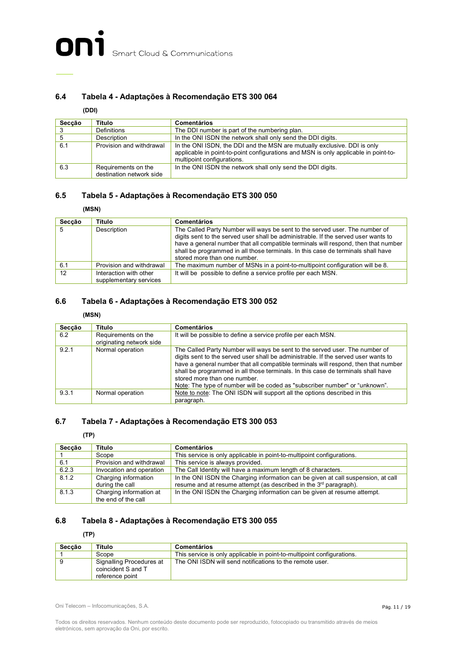#### **6.4 Tabela 4 - Adaptações à Recomendação ETS 300 064**

#### **(DDI)**

| Secção | Título                                          | <b>Comentários</b>                                                                                                                                                                            |
|--------|-------------------------------------------------|-----------------------------------------------------------------------------------------------------------------------------------------------------------------------------------------------|
|        | Definitions                                     | The DDI number is part of the numbering plan.                                                                                                                                                 |
|        | Description                                     | In the ONI ISDN the network shall only send the DDI digits.                                                                                                                                   |
| 6.1    | Provision and withdrawal                        | In the ONI ISDN, the DDI and the MSN are mutually exclusive. DDI is only<br>applicable in point-to-point configurations and MSN is only applicable in point-to-<br>multipoint configurations. |
| 6.3    | Requirements on the<br>destination network side | In the ONI ISDN the network shall only send the DDI digits.                                                                                                                                   |

#### **6.5 Tabela 5 - Adaptações à Recomendação ETS 300 050**

#### **(MSN)**

| Secção | Título                                           | <b>Comentários</b>                                                                                                                                                                                                                                                                                                                                                          |
|--------|--------------------------------------------------|-----------------------------------------------------------------------------------------------------------------------------------------------------------------------------------------------------------------------------------------------------------------------------------------------------------------------------------------------------------------------------|
| -5     | Description                                      | The Called Party Number will ways be sent to the served user. The number of<br>digits sent to the served user shall be administrable. If the served user wants to<br>have a general number that all compatible terminals will respond, then that number<br>shall be programmed in all those terminals. In this case de terminals shall have<br>stored more than one number. |
| 6.1    | Provision and withdrawal                         | The maximum number of MSNs in a point-to-multipoint configuration will be 8.                                                                                                                                                                                                                                                                                                |
| 12     | Interaction with other<br>supplementary services | It will be possible to define a service profile per each MSN.                                                                                                                                                                                                                                                                                                               |

#### **6.6 Tabela 6 - Adaptações à Recomendação ETS 300 052**

#### **(MSN)**

| Secção | Título                                          | <b>Comentários</b>                                                                                                                                                                                                                                                                                                                                                                                                                                         |
|--------|-------------------------------------------------|------------------------------------------------------------------------------------------------------------------------------------------------------------------------------------------------------------------------------------------------------------------------------------------------------------------------------------------------------------------------------------------------------------------------------------------------------------|
| 6.2    | Requirements on the<br>originating network side | It will be possible to define a service profile per each MSN.                                                                                                                                                                                                                                                                                                                                                                                              |
| 9.2.1  | Normal operation                                | The Called Party Number will ways be sent to the served user. The number of<br>digits sent to the served user shall be administrable. If the served user wants to<br>have a general number that all compatible terminals will respond, then that number<br>shall be programmed in all those terminals. In this case de terminals shall have<br>stored more than one number.<br>Note: The type of number will be coded as "subscriber number" or "unknown". |
| 9.3.1  | Normal operation                                | Note to note: The ONI ISDN will support all the options described in this<br>paragraph.                                                                                                                                                                                                                                                                                                                                                                    |

#### **6.7 Tabela 7 - Adaptações à Recomendação ETS 300 053**

**(TP)**

| Secção | Título                   | <b>Comentários</b>                                                                |
|--------|--------------------------|-----------------------------------------------------------------------------------|
|        | Scope                    | This service is only applicable in point-to-multipoint configurations.            |
| 6.1    | Provision and withdrawal | This service is always provided.                                                  |
| 6.2.3  | Invocation and operation | The Call Identity will have a maximum length of 8 characters.                     |
| 8.1.2  | Charging information     | In the ONI ISDN the Charging information can be given at call suspension, at call |
|        | during the call          | resume and at resume attempt (as described in the 3 <sup>rd</sup> paragraph).     |
| 8.1.3  | Charging information at  | In the ONI ISDN the Charging information can be given at resume attempt.          |
|        | the end of the call      |                                                                                   |

#### **6.8 Tabela 8 - Adaptações à Recomendação ETS 300 055**

#### **(TP)**

| Seccão | Título                                                            | Comentários                                                            |
|--------|-------------------------------------------------------------------|------------------------------------------------------------------------|
|        | Scope                                                             | This service is only applicable in point-to-multipoint configurations. |
|        | Signalling Procedures at<br>coincident S and T<br>reference point | The ONI ISDN will send notifications to the remote user.               |

Oni Telecom – Infocomunicações, S.A.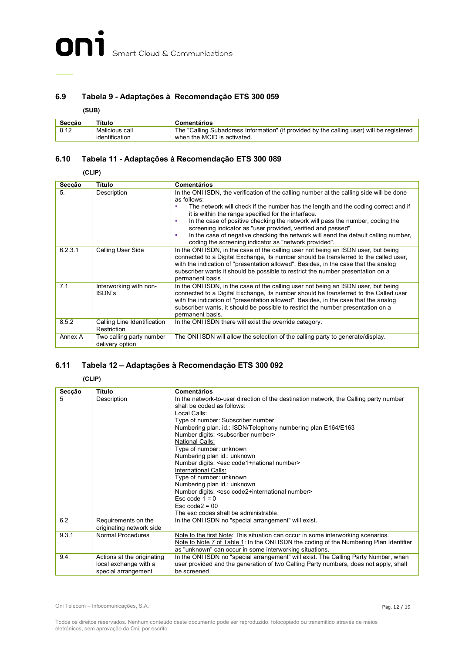#### **6.9 Tabela 9 - Adaptações à Recomendação ETS 300 059**

**(SUB)**

| Seccão | Título                           | Comentários                                                                                                              |
|--------|----------------------------------|--------------------------------------------------------------------------------------------------------------------------|
| 8.12   | Malicious call<br>identification | The "Calling Subaddress Information" (if provided by the calling user) will be registered<br>when the MCID is activated. |

#### **6.10 Tabela 11 - Adaptações à Recomendação ETS 300 089**

**(CLIP)**

| Secção  | Título                                      | <b>Comentários</b>                                                                                                                                                                                                                                                                                                                                                                                                                                                                                                                                       |
|---------|---------------------------------------------|----------------------------------------------------------------------------------------------------------------------------------------------------------------------------------------------------------------------------------------------------------------------------------------------------------------------------------------------------------------------------------------------------------------------------------------------------------------------------------------------------------------------------------------------------------|
| 5.      | Description                                 | In the ONI ISDN, the verification of the calling number at the calling side will be done<br>as follows:<br>The network will check if the number has the length and the coding correct and if<br>it is within the range specified for the interface.<br>In the case of positive checking the network will pass the number, coding the<br>screening indicator as "user provided, verified and passed".<br>In the case of negative checking the network will send the default calling number,<br>٠<br>coding the screening indicator as "network provided". |
| 6.2.3.1 | Calling User Side                           | In the ONI ISDN, in the case of the calling user not being an ISDN user, but being<br>connected to a Digital Exchange, its number should be transferred to the called user,<br>with the indication of "presentation allowed". Besides, in the case that the analog<br>subscriber wants it should be possible to restrict the number presentation on a<br>permanent basis                                                                                                                                                                                 |
| 7.1     | Interworking with non-<br>ISDN's            | In the ONI ISDN, in the case of the calling user not being an ISDN user, but being<br>connected to a Digital Exchange, its number should be transferred to the Called user<br>with the indication of "presentation allowed". Besides, in the case that the analog<br>subscriber wants, it should be possible to restrict the number presentation on a<br>permanent basis.                                                                                                                                                                                |
| 8.5.2   | Calling Line Identification<br>Restriction  | In the ONI ISDN there will exist the override category.                                                                                                                                                                                                                                                                                                                                                                                                                                                                                                  |
| Annex A | Two calling party number<br>delivery option | The ONI ISDN will allow the selection of the calling party to generate/display.                                                                                                                                                                                                                                                                                                                                                                                                                                                                          |

#### **6.11 Tabela 12 – Adaptações à Recomendação ETS 300 092**

**(CLIP)**

| Secção | Título                     | <b>Comentários</b>                                                                     |
|--------|----------------------------|----------------------------------------------------------------------------------------|
| 5      | Description                | In the network-to-user direction of the destination network, the Calling party number  |
|        |                            | shall be coded as follows:                                                             |
|        |                            | Local Calls:                                                                           |
|        |                            | Type of number: Subscriber number                                                      |
|        |                            | Numbering plan. id.: ISDN/Telephony numbering plan E164/E163                           |
|        |                            | Number digits: <subscriber number=""></subscriber>                                     |
|        |                            | National Calls:                                                                        |
|        |                            | Type of number: unknown                                                                |
|        |                            | Numbering plan id.: unknown                                                            |
|        |                            | Number digits: <esc code1+national="" number=""></esc>                                 |
|        |                            | International Calls:                                                                   |
|        |                            | Type of number: unknown                                                                |
|        |                            | Numbering plan id.: unknown                                                            |
|        |                            | Number digits: <esc code2+international="" number=""></esc>                            |
|        |                            | Esc code $1 = 0$                                                                       |
|        |                            | $\text{Esc code2} = 00$                                                                |
|        |                            | The esc codes shall be administrable.                                                  |
| 6.2    | Requirements on the        | In the ONI ISDN no "special arrangement" will exist.                                   |
|        | originating network side   |                                                                                        |
| 9.3.1  | Normal Procedures          | Note to the first Note: This situation can occur in some interworking scenarios.       |
|        |                            | Note to Note 7 of Table 1: In the ONI ISDN the coding of the Numbering Plan Identifier |
|        |                            | as "unknown" can occur in some interworking situations.                                |
| 9.4    | Actions at the originating | In the ONI ISDN no "special arrangement" will exist. The Calling Party Number, when    |
|        | local exchange with a      | user provided and the generation of two Calling Party numbers, does not apply, shall   |
|        | special arrangement        | be screened.                                                                           |

Oni Telecom – Infocomunicações, S.A.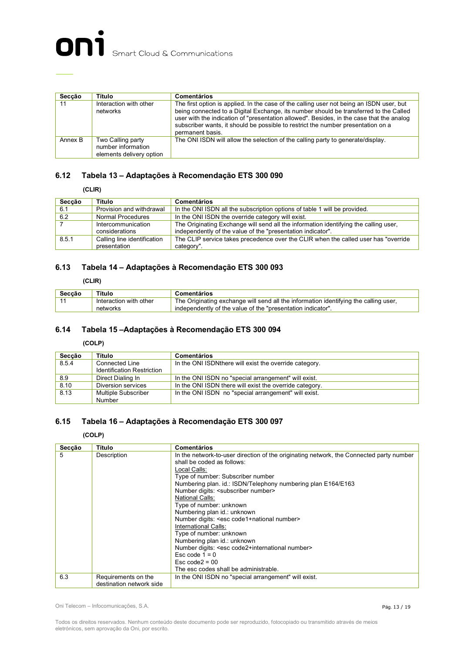

| Secção  | Título                                                              | <b>Comentários</b>                                                                                                                                                                                                                                                                                                                                                                    |
|---------|---------------------------------------------------------------------|---------------------------------------------------------------------------------------------------------------------------------------------------------------------------------------------------------------------------------------------------------------------------------------------------------------------------------------------------------------------------------------|
| 11      | Interaction with other<br>networks                                  | The first option is applied. In the case of the calling user not being an ISDN user, but<br>being connected to a Digital Exchange, its number should be transferred to the Called<br>user with the indication of "presentation allowed". Besides, in the case that the analog<br>subscriber wants, it should be possible to restrict the number presentation on a<br>permanent basis. |
| Annex B | Two Calling party<br>number information<br>elements delivery option | The ONI ISDN will allow the selection of the calling party to generate/display.                                                                                                                                                                                                                                                                                                       |

#### **6.12 Tabela 13 – Adaptações à Recomendação ETS 300 090**

**(CLIR)**

| Secção | Título                                      | Comentários                                                                                                                                         |
|--------|---------------------------------------------|-----------------------------------------------------------------------------------------------------------------------------------------------------|
| 6.1    | Provision and withdrawal                    | In the ONI ISDN all the subscription options of table 1 will be provided.                                                                           |
| 6.2    | Normal Procedures                           | In the ONI ISDN the override category will exist.                                                                                                   |
|        | Intercommunication<br>considerations        | The Originating Exchange will send all the information identifying the calling user,<br>independently of the value of the "presentation indicator". |
| 8.5.1  | Calling line identification<br>presentation | The CLIP service takes precedence over the CLIR when the called user has "override"<br>category".                                                   |

#### **6.13 Tabela 14 – Adaptações à Recomendação ETS 300 093**

**(CLIR)**

| Secção | Título                 | Comentários                                                                          |
|--------|------------------------|--------------------------------------------------------------------------------------|
|        | Interaction with other | The Originating exchange will send all the information identifying the calling user, |
|        | networks               | independently of the value of the "presentation indicator".                          |

#### **6.14 Tabela 15 –Adaptações à Recomendação ETS 300 094**

#### **(COLP)**

| Seccão | Título                            | Comentários                                             |
|--------|-----------------------------------|---------------------------------------------------------|
| 8.5.4  | Connected Line                    | In the ONI ISDN there will exist the override category. |
|        | <b>Identification Restriction</b> |                                                         |
| 8.9    | Direct Dialing In                 | In the ONI ISDN no "special arrangement" will exist.    |
| 8.10   | Diversion services                | In the ONI ISDN there will exist the override category. |
| 8.13   | <b>Multiple Subscriber</b>        | In the ONI ISDN no "special arrangement" will exist.    |
|        | Number                            |                                                         |

#### **6.15 Tabela 16 – Adaptações à Recomendação ETS 300 097**

#### **(COLP)**

| Secção | Título                   | <b>Comentários</b>                                                                      |
|--------|--------------------------|-----------------------------------------------------------------------------------------|
| 5      | Description              | In the network-to-user direction of the originating network, the Connected party number |
|        |                          | shall be coded as follows:                                                              |
|        |                          | Local Calls:                                                                            |
|        |                          | Type of number: Subscriber number                                                       |
|        |                          | Numbering plan. id.: ISDN/Telephony numbering plan E164/E163                            |
|        |                          | Number digits: <subscriber number=""></subscriber>                                      |
|        |                          | National Calls:                                                                         |
|        |                          | Type of number: unknown                                                                 |
|        |                          | Numbering plan id.: unknown                                                             |
|        |                          | Number digits: <esc code1+national="" number=""></esc>                                  |
|        |                          | International Calls:                                                                    |
|        |                          | Type of number: unknown                                                                 |
|        |                          | Numbering plan id.: unknown                                                             |
|        |                          | Number digits: <esc code2+international="" number=""></esc>                             |
|        |                          | Esc code $1 = 0$                                                                        |
|        |                          | $\text{Esc code2} = 00$                                                                 |
|        |                          | The esc codes shall be administrable.                                                   |
| 6.3    | Requirements on the      | In the ONI ISDN no "special arrangement" will exist.                                    |
|        | destination network side |                                                                                         |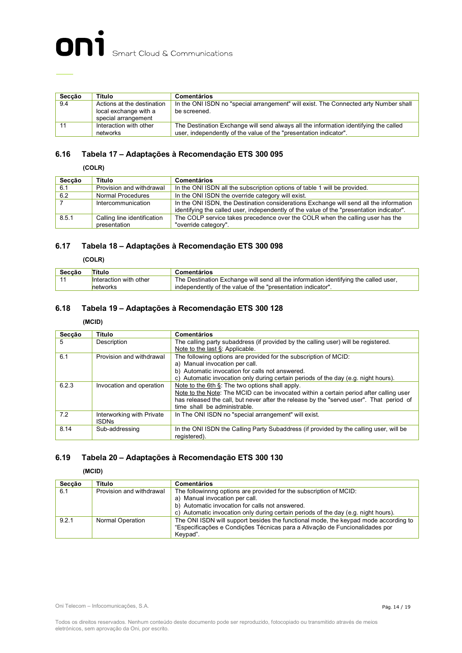| Seccão | Título                                                                     | <b>Comentários</b>                                                                                                                                        |
|--------|----------------------------------------------------------------------------|-----------------------------------------------------------------------------------------------------------------------------------------------------------|
| 9.4    | Actions at the destination<br>local exchange with a<br>special arrangement | In the ONI ISDN no "special arrangement" will exist. The Connected arty Number shall<br>be screened.                                                      |
| 11     | Interaction with other<br>networks                                         | The Destination Exchange will send always all the information identifying the called<br>user, independently of the value of the "presentation indicator". |

#### **6.16 Tabela 17 – Adaptações à Recomendação ETS 300 095**

**(COLR)**

| Secção | Título                      | <b>Comentários</b>                                                                       |
|--------|-----------------------------|------------------------------------------------------------------------------------------|
| 6.1    | Provision and withdrawal    | In the ONI ISDN all the subscription options of table 1 will be provided.                |
| 6.2    | Normal Procedures           | In the ONI ISDN the override category will exist.                                        |
|        | Intercommunication          | In the ONI ISDN, the Destination considerations Exchange will send all the information   |
|        |                             | identifying the called user, independently of the value of the "presentation indicator". |
| 8.5.1  | Calling line identification | The COLP service takes precedence over the COLR when the calling user has the            |
|        | presentation                | "override category".                                                                     |

#### **6.17 Tabela 18 – Adaptações à Recomendação ETS 300 098**

**(COLR)**

| Secção | Título                 | Comentários                                                                         |
|--------|------------------------|-------------------------------------------------------------------------------------|
|        | Interaction with other | The Destination Exchange will send all the information identifying the called user, |
|        | networks               | independently of the value of the "presentation indicator".                         |

#### **6.18 Tabela 19 – Adaptações à Recomendação ETS 300 128**

#### **(MCID)**

| Secção | Título                    | <b>Comentários</b>                                                                      |
|--------|---------------------------|-----------------------------------------------------------------------------------------|
| 5      | Description               | The calling party subaddress (if provided by the calling user) will be registered.      |
|        |                           | Note to the last §: Applicable.                                                         |
| 6.1    | Provision and withdrawal  | The following options are provided for the subscription of MCID:                        |
|        |                           | a) Manual invocation per call.                                                          |
|        |                           | b) Automatic invocation for calls not answered.                                         |
|        |                           | c) Automatic invocation only during certain periods of the day (e.g. night hours).      |
| 6.2.3  | Invocation and operation  | Note to the 6th $\S$ : The two options shall apply.                                     |
|        |                           | Note to the Note: The MCID can be invocated within a certain period after calling user  |
|        |                           | has released the call, but never after the release by the "served user". That period of |
|        |                           | time shall be administrable.                                                            |
| 7.2    | Interworking with Private | In The ONI ISDN no "special arrangement" will exist.                                    |
|        | <b>ISDNs</b>              |                                                                                         |
| 8.14   | Sub-addressing            | In the ONI ISDN the Calling Party Subaddress (if provided by the calling user, will be  |
|        |                           | registered).                                                                            |

#### **6.19 Tabela 20 – Adaptações à Recomendação ETS 300 130**

**(MCID)**

| Secção | Título                   | <b>Comentários</b>                                                                                                                                                             |
|--------|--------------------------|--------------------------------------------------------------------------------------------------------------------------------------------------------------------------------|
| 6.1    | Provision and withdrawal | The followinnng options are provided for the subscription of MCID:                                                                                                             |
|        |                          | a) Manual invocation per call.                                                                                                                                                 |
|        |                          | b) Automatic invocation for calls not answered.                                                                                                                                |
|        |                          | c) Automatic invocation only during certain periods of the day (e.g. night hours).                                                                                             |
| 9.2.1  | Normal Operation         | The ONI ISDN will support besides the functional mode, the keypad mode according to<br>"Especificações e Condições Técnicas para a Ativação de Funcionalidades por<br>Kevpad". |

Oni Telecom – Infocomunicações, S.A.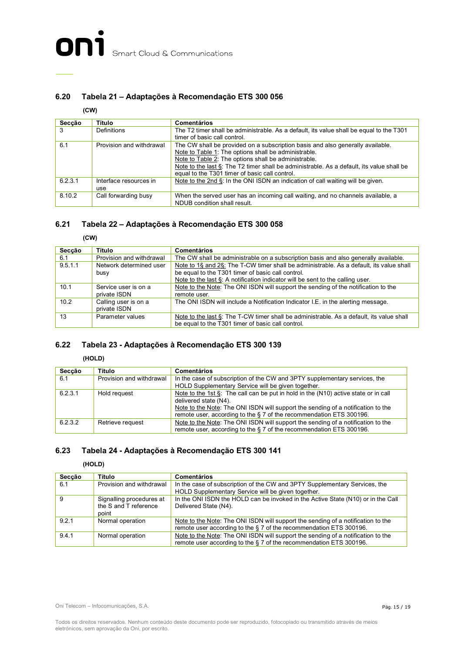#### **6.20 Tabela 21 – Adaptações à Recomendação ETS 300 056**

#### **(CW)**

| Secção  | Título                        | <b>Comentários</b>                                                                                                                                                                                                                                                                                                                            |
|---------|-------------------------------|-----------------------------------------------------------------------------------------------------------------------------------------------------------------------------------------------------------------------------------------------------------------------------------------------------------------------------------------------|
| 3       | Definitions                   | The T2 timer shall be administrable. As a default, its value shall be equal to the T301<br>timer of basic call control.                                                                                                                                                                                                                       |
| 6.1     | Provision and withdrawal      | The CW shall be provided on a subscription basis and also generally available.<br>Note to Table 1: The options shall be administrable.<br>Note to Table 2: The options shall be administrable.<br>Note to the last §: The T2 timer shall be administrable. As a default, its value shall be<br>equal to the T301 timer of basic call control. |
| 6.2.3.1 | Interface resources in<br>use | Note to the 2nd §: In the ONI ISDN an indication of call waiting will be given.                                                                                                                                                                                                                                                               |
| 8.10.2  | Call forwarding busy          | When the served user has an incoming call waiting, and no channels available, a<br>NDUB condition shall result.                                                                                                                                                                                                                               |

#### **6.21 Tabela 22 – Adaptações à Recomendação ETS 300 058**

**(CW)**

| Seccão  | Título                   | <b>Comentários</b>                                                                       |
|---------|--------------------------|------------------------------------------------------------------------------------------|
| 6.1     | Provision and withdrawal | The CW shall be administrable on a subscription basis and also generally available.      |
| 9.5.1.1 | Network determined user  | Note to 18 and 28: The T-CW timer shall be administrable. As a default, its value shall  |
|         | busy                     | be equal to the T301 timer of basic call control.                                        |
|         |                          | Note to the last §: A notification indicator will be sent to the calling user.           |
| 10.1    | Service user is on a     | Note to the Note: The ONI ISDN will support the sending of the notification to the       |
|         | private ISDN             | remote user.                                                                             |
| 10.2    | Calling user is on a     | The ONI ISDN will include a Notification Indicator I.E. in the alerting message.         |
|         | private ISDN             |                                                                                          |
| 13      | Parameter values         | Note to the last §: The T-CW timer shall be administrable. As a default, its value shall |
|         |                          | be equal to the T301 timer of basic call control.                                        |

#### **6.22 Tabela 23 - Adaptações à Recomendação ETS 300 139**

**(HOLD)**

| Secção  | Título                   | <b>Comentários</b>                                                                        |
|---------|--------------------------|-------------------------------------------------------------------------------------------|
| 6.1     | Provision and withdrawal | In the case of subscription of the CW and 3PTY supplementary services, the                |
|         |                          | HOLD Supplementary Service will be given together.                                        |
| 6.2.3.1 | Hold request             | Note to the 1st $\S$ : The call can be put in hold in the $(N10)$ active state or in call |
|         |                          | delivered state (N4).                                                                     |
|         |                          | Note to the Note: The ONI ISDN will support the sending of a notification to the          |
|         |                          | remote user, according to the § 7 of the recommendation ETS 300196.                       |
| 6.2.3.2 | Retrieve request         | Note to the Note: The ONI ISDN will support the sending of a notification to the          |
|         |                          | remote user, according to the §7 of the recommendation ETS 300196.                        |

#### **6.23 Tabela 24 - Adaptações à Recomendação ETS 300 141**

**(HOLD)**

| Secção | Título                   | <b>Comentários</b>                                                                                                               |
|--------|--------------------------|----------------------------------------------------------------------------------------------------------------------------------|
| 6.1    | Provision and withdrawal | In the case of subscription of the CW and 3PTY Supplementary Services, the<br>HOLD Supplementary Service will be given together. |
|        |                          |                                                                                                                                  |
| -9     | Signalling procedures at | In the ONI ISDN the HOLD can be invoked in the Active State (N10) or in the Call                                                 |
|        | the S and T reference    | Delivered State (N4).                                                                                                            |
|        | point                    |                                                                                                                                  |
| 9.2.1  | Normal operation         | Note to the Note: The ONI ISDN will support the sending of a notification to the                                                 |
|        |                          | remote user according to the § 7 of the recommendation ETS 300196.                                                               |
| 9.4.1  | Normal operation         | Note to the Note: The ONI ISDN will support the sending of a notification to the                                                 |
|        |                          | remote user according to the § 7 of the recommendation ETS 300196.                                                               |

Oni Telecom – Infocomunicações, S.A.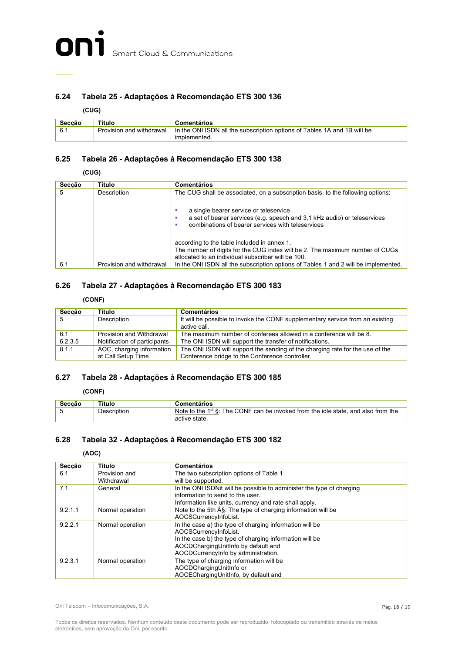

#### **6.24 Tabela 25 - Adaptações à Recomendação ETS 300 136**

**(CUG)**

| Seccão | Título                   | Comentários                                                                              |
|--------|--------------------------|------------------------------------------------------------------------------------------|
|        | Provision and withdrawal | In the ONI ISDN all the subscription options of Tables 1A and 1B will be<br>implemented. |

#### **6.25 Tabela 26 - Adaptações à Recomendação ETS 300 138**

**(CUG)**

| Secção | Título                   | <b>Comentários</b>                                                                                                                                                                |
|--------|--------------------------|-----------------------------------------------------------------------------------------------------------------------------------------------------------------------------------|
| 5      | Description              | The CUG shall be associated, on a subscription basis, to the following options:                                                                                                   |
|        |                          | a single bearer service or teleservice<br>a set of bearer services (e.g. speech and 3,1 kHz audio) or teleservices<br>combinations of bearer services with teleservices           |
|        |                          | according to the table included in annex 1.<br>The number of digits for the CUG index will be 2. The maximum number of CUGs<br>allocated to an individual subscriber will be 100. |
| 6.1    | Provision and withdrawal | In the ONI ISDN all the subscription options of Tables 1 and 2 will be implemented.                                                                                               |

#### **6.26 Tabela 27 - Adaptações à Recomendação ETS 300 183**

#### **(CONF)**

| Secção  | Título                       | <b>Comentários</b>                                                            |
|---------|------------------------------|-------------------------------------------------------------------------------|
|         | Description                  | It will be possible to invoke the CONF supplementary service from an existing |
|         |                              | active call.                                                                  |
| 6.1     | Provision and Withdrawal     | The maximum number of conferees allowed in a conference will be 8.            |
| 6.2.3.5 | Notification of participants | The ONI ISDN will support the transfer of notifications.                      |
| 8.1.1   | AOC, charging information    | The ONI ISDN will support the sending of the charging rate for the use of the |
|         | at Call Setup Time           | Conference bridge to the Conference controller.                               |

#### **6.27 Tabela 28 - Adaptações à Recomendação ETS 300 185**

**(CONF)**

| Seccão | Título      | Comentários                                                                            |
|--------|-------------|----------------------------------------------------------------------------------------|
|        | Description | Note to the $1^{st}$ §: The CONF can be invoked from the idle state, and also from the |
|        |             | active state.                                                                          |

#### **6.28 Tabela 32 - Adaptações à Recomendação ETS 300 182**

**(AOC)**

| Secção  | Título           | <b>Comentários</b>                                                    |
|---------|------------------|-----------------------------------------------------------------------|
| 6.1     | Provision and    | The two subscription options of Table 1                               |
|         | Withdrawal       | will be supported.                                                    |
| 7.1     | General          | In the ONI ISDNit will be possible to administer the type of charging |
|         |                  | information to send to the user.                                      |
|         |                  | Information like units, currency and rate shall apply.                |
| 9.2.1.1 | Normal operation | Note to the 5th §: The type of charging information will be           |
|         |                  | AOCSCurrencyInfoList.                                                 |
| 9.2.2.1 | Normal operation | In the case a) the type of charging information will be               |
|         |                  | AOCSCurrencyInfoList.                                                 |
|         |                  | In the case b) the type of charging information will be               |
|         |                  | AOCDChargingUnitInfo by default and                                   |
|         |                  | AOCDCurrencyInfo by administration.                                   |
| 9.2.3.1 | Normal operation | The type of charging information will be                              |
|         |                  | AOCDChargingUnitInfo or                                               |
|         |                  | AOCEChargingUnitInfo, by default and                                  |

Oni Telecom – Infocomunicações, S.A.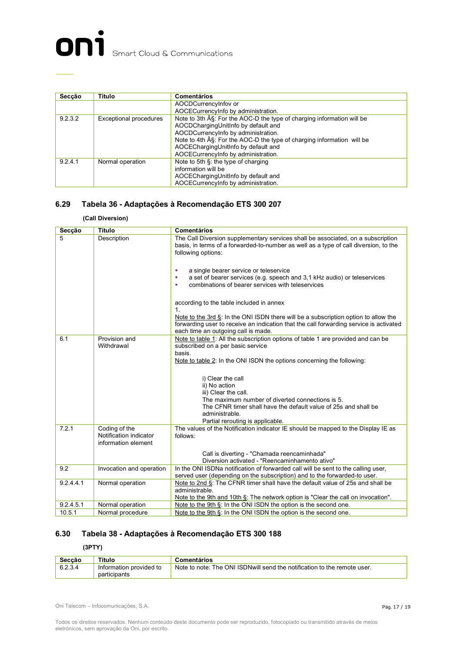

| Secção  | Título                        | <b>Comentários</b>                                                    |
|---------|-------------------------------|-----------------------------------------------------------------------|
|         |                               | AOCDCurrencyInfov or                                                  |
|         |                               | AOCECurrencyInfo by administration.                                   |
| 9.2.3.2 | <b>Exceptional procedures</b> | Note to 3th §: For the AOC-D the type of charging information will be |
|         |                               | AOCDChargingUnitInfo by default and                                   |
|         |                               | AOCDCurrencyInfo by administration.                                   |
|         |                               | Note to 4th §: For the AOC-D the type of charging information will be |
|         |                               | AOCEChargingUnitInfo by default and                                   |
|         |                               | AOCECurrencyInfo by administration.                                   |
| 9.2.4.1 | Normal operation              | Note to 5th §: the type of charging                                   |
|         |                               | information will be                                                   |
|         |                               | AOCEChargingUnitInfo by default and                                   |
|         |                               | AOCECurrencyInfo by administration.                                   |

#### **6.29 Tabela 36 - Adaptações à Recomendação ETS 300 207**

#### **(Call Diversion)**

| Secção    | Título                                                         | <b>Comentários</b>                                                                                                                                                                                                             |
|-----------|----------------------------------------------------------------|--------------------------------------------------------------------------------------------------------------------------------------------------------------------------------------------------------------------------------|
| 5         | Description                                                    | The Call Diversion supplementary services shall be associated, on a subscription<br>basis, in terms of a forwarded-to-number as well as a type of call diversion, to the<br>following options:                                 |
|           |                                                                | a single bearer service or teleservice<br>٠<br>a set of bearer services (e.g. speech and 3,1 kHz audio) or teleservices<br>٠<br>combinations of bearer services with teleservices<br>٠                                         |
|           |                                                                | according to the table included in annex<br>1 <sup>1</sup>                                                                                                                                                                     |
|           |                                                                | Note to the 3rd $\xi$ : In the ONI ISDN there will be a subscription option to allow the<br>forwarding user to receive an indication that the call forwarding service is activated<br>each time an outgoing call is made.      |
| 6.1       | Provision and<br>Withdrawal                                    | Note to table 1: All the subscription options of table 1 are provided and can be<br>subscribed on a per basic service<br>basis.<br>Note to table 2: In the ONI ISDN the options concerning the following:<br>i) Clear the call |
|           |                                                                | ii) No action<br>iii) Clear the call.<br>The maximum number of diverted connections is 5.<br>The CFNR timer shall have the default value of 25s and shall be<br>administrable.                                                 |
| 7.2.1     | Coding of the<br>Notification indicator<br>information element | Partial rerouting is applicable.<br>The values of the Notification indicator IE should be mapped to the Display IE as<br>follows:                                                                                              |
|           |                                                                | Call is diverting - "Chamada reencaminhada"<br>Diversion activated - "Reencaminhamento ativo"                                                                                                                                  |
| 9.2       | Invocation and operation                                       | In the ONI ISDNa notification of forwarded call will be sent to the calling user,<br>served user (depending on the subscription) and to the forwarded-to user.                                                                 |
| 9.2.4.4.1 | Normal operation                                               | Note to 2nd §: The CFNR timer shall have the default value of 25s and shall be<br>administrable.<br>Note to the 9th and 10th §: The network option is "Clear the call on invocation".                                          |
| 9.2.4.5.1 | Normal operation                                               | Note to the 9th §: In the ONI ISDN the option is the second one.                                                                                                                                                               |
| 10.5.1    | Normal procedure                                               | Note to the 9th §: In the ONI ISDN the option is the second one.                                                                                                                                                               |

#### **6.30 Tabela 38 - Adaptações à Recomendação ETS 300 188**

#### **(3PTY)**

| Seccão  | Título                                  | Comentários                                                               |
|---------|-----------------------------------------|---------------------------------------------------------------------------|
| 6.2.3.4 | Information provided to<br>participants | Note to note: The ONI ISDN will send the notification to the remote user. |

Oni Telecom – Infocomunicações, S.A.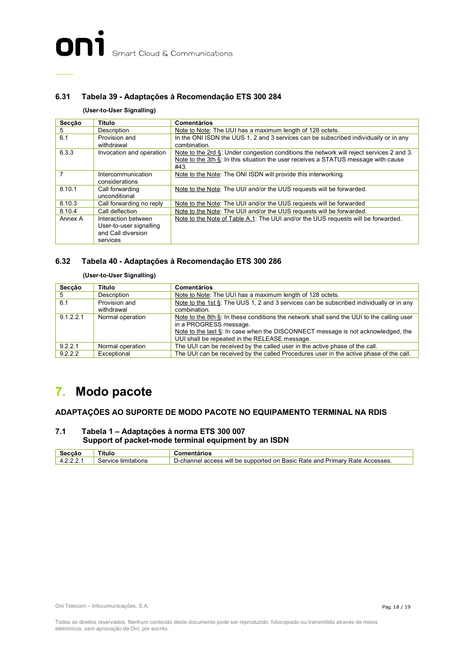#### **6.31 Tabela 39 - Adaptações à Recomendação ETS 300 284**

#### **(User-to-User Signalling)**

| Secção  | Título                               | <b>Comentários</b>                                                                                                                                                                     |
|---------|--------------------------------------|----------------------------------------------------------------------------------------------------------------------------------------------------------------------------------------|
| 5       | Description                          | Note to Note: The UUI has a maximum length of 128 octets.                                                                                                                              |
| 6.1     | Provision and<br>withdrawal          | In the ONI ISDN the UUS 1, 2 and 3 services can be subscribed individually or in any<br>combination.                                                                                   |
| 6.3.3   | Invocation and operation             | Note to the 2rd §: Under congestion conditions the network will reject services 2 and 3.<br>Note to the 3th §: In this situation the user receives a STATUS message with cause<br>#43. |
|         | Intercommunication<br>considerations | Note to the Note: The ONI ISDN will provide this interworking.                                                                                                                         |
| 8.10.1  | Call forwarding<br>unconditional     | Note to the Note: The UUI and/or the UUS requests will be forwarded.                                                                                                                   |
| 8.10.3  | Call forwarding no reply             | Note to the Note: The UUI and/or the UUS requests will be forwarded                                                                                                                    |
| 8.10.4  | Call deflection                      | Note to the Note: The UUI and/or the UUS requests will be forwarded.                                                                                                                   |
| Annex A | Interaction between                  | Note to the Note of Table A.1: The UUI and/or the UUS requests will be forwarded.                                                                                                      |
|         | User-to-user signalling              |                                                                                                                                                                                        |
|         | and Call diversion                   |                                                                                                                                                                                        |
|         | services                             |                                                                                                                                                                                        |

#### **6.32 Tabela 40 - Adaptações à Recomendação ETS 300 286**

#### **(User-to-User Signalling)**

| Secção    | Título           | <b>Comentários</b>                                                                          |
|-----------|------------------|---------------------------------------------------------------------------------------------|
| 5         | Description      | Note to Note: The UUI has a maximum length of 128 octets.                                   |
| 6.1       | Provision and    | Note to the 1st $\S$ : The UUS 1, 2 and 3 services can be subscribed individually or in any |
|           | withdrawal       | combination.                                                                                |
| 9.1.2.2.1 | Normal operation | Note to the 8th §: In these conditions the network shall send the UUI to the calling user   |
|           |                  | in a PROGRESS message.                                                                      |
|           |                  | Note to the last §: In case when the DISCONNECT message is not acknowledged, the            |
|           |                  | UUI shall be repeated in the RELEASE message.                                               |
| 9.2.2.1   | Normal operation | The UUI can be received by the called user in the active phase of the call.                 |
| 9.2.2.2   | Exceptional      | The UUI can be received by the called Procedures user in the active phase of the call.      |

### **7. Modo pacote**

#### **ADAPTAÇÕES AO SUPORTE DE MODO PACOTE NO EQUIPAMENTO TERMINAL NA RDIS**

#### **7.1 Tabela 1 – Adaptações à norma ETS 300 007 Support of packet-mode terminal equipment by an ISDN**

| Seccão | Título              | ;omentàrios                                                                 |
|--------|---------------------|-----------------------------------------------------------------------------|
| 12221  | Service limitations | D-channel access will be supported on Basic Rate and Primary Rate Accesses. |